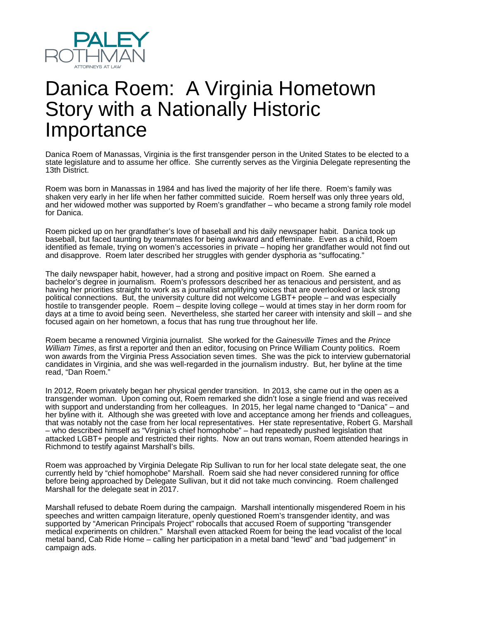

## Danica Roem: A Virginia Hometown Story with a Nationally Historic **Importance**

Danica Roem of Manassas, Virginia is the first transgender person in the United States to be elected to a state legislature and to assume her office. She currently serves as the Virginia Delegate representing the 13th District.

Roem was born in Manassas in 1984 and has lived the majority of her life there. Roem's family was shaken very early in her life when her father committed suicide. Roem herself was only three years old, and her widowed mother was supported by Roem's grandfather – who became a strong family role model for Danica.

Roem picked up on her grandfather's love of baseball and his daily newspaper habit. Danica took up baseball, but faced taunting by teammates for being awkward and effeminate. Even as a child, Roem identified as female, trying on women's accessories in private – hoping her grandfather would not find out and disapprove. Roem later described her struggles with gender dysphoria as "suffocating."

The daily newspaper habit, however, had a strong and positive impact on Roem. She earned a bachelor's degree in journalism. Roem's professors described her as tenacious and persistent, and as having her priorities straight to work as a journalist amplifying voices that are overlooked or lack strong political connections. But, the university culture did not welcome LGBT+ people – and was especially hostile to transgender people. Roem – despite loving college – would at times stay in her dorm room for days at a time to avoid being seen. Nevertheless, she started her career with intensity and skill – and she focused again on her hometown, a focus that has rung true throughout her life.

Roem became a renowned Virginia journalist. She worked for the Gainesville Times and the Prince William Times, as first a reporter and then an editor, focusing on Prince William County politics. Roem won awards from the Virginia Press Association seven times. She was the pick to interview gubernatorial candidates in Virginia, and she was well-regarded in the journalism industry. But, her byline at the time read, "Dan Roem."

In 2012, Roem privately began her physical gender transition. In 2013, she came out in the open as a transgender woman. Upon coming out, Roem remarked she didn't lose a single friend and was received with support and understanding from her colleagues. In 2015, her legal name changed to "Danica" – and her byline with it. Although she was greeted with love and acceptance among her friends and colleagues, that was notably not the case from her local representatives. Her state representative, Robert G. Marshall – who described himself as "Virginia's chief homophobe" – had repeatedly pushed legislation that attacked LGBT+ people and restricted their rights. Now an out trans woman, Roem attended hearings in Richmond to testify against Marshall's bills.

Roem was approached by Virginia Delegate Rip Sullivan to run for her local state delegate seat, the one currently held by "chief homophobe" Marshall. Roem said she had never considered running for office before being approached by Delegate Sullivan, but it did not take much convincing. Roem challenged Marshall for the delegate seat in 2017.

Marshall refused to debate Roem during the campaign. Marshall intentionally misgendered Roem in his speeches and written campaign literature, openly questioned Roem's transgender identity, and was supported by "American Principals Project" robocalls that accused Roem of supporting "transgender medical experiments on children." Marshall even attacked Roem for being the lead vocalist of the local metal band, Cab Ride Home – calling her participation in a metal band "lewd" and "bad judgement" in campaign ads.